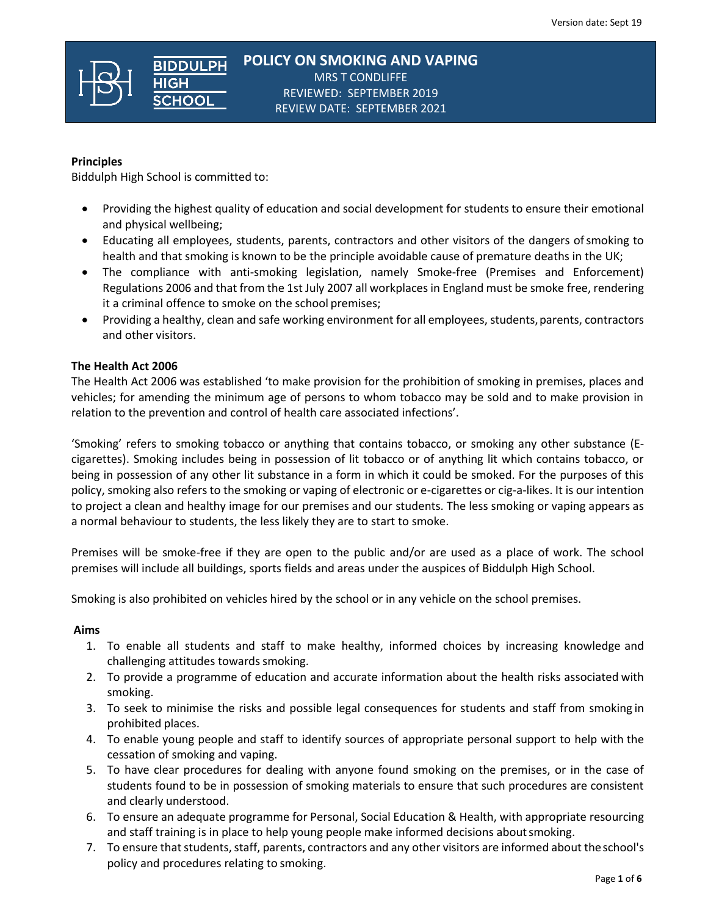**POLICY ON SMOKING AND VAPING** MRS T CONDLIFFE REVIEWED: SEPTEMBER 2019 REVIEW DATE: SEPTEMBER 2021

## **Principles**

Biddulph High School is committed to:

**BIDDULPH** 

- Providing the highest quality of education and social development for students to ensure their emotional and physical wellbeing;
- Educating all employees, students, parents, contractors and other visitors of the dangers ofsmoking to health and that smoking is known to be the principle avoidable cause of premature deaths in the UK;
- The compliance with anti-smoking legislation, namely Smoke-free (Premises and Enforcement) Regulations 2006 and that from the 1st July 2007 all workplaces in England must be smoke free, rendering it a criminal offence to smoke on the school premises;
- Providing a healthy, clean and safe working environment for all employees, students, parents, contractors and other visitors.

#### **The Health Act 2006**

The Health Act 2006 was established 'to make provision for the prohibition of smoking in premises, places and vehicles; for amending the minimum age of persons to whom tobacco may be sold and to make provision in relation to the prevention and control of health care associated infections'.

'Smoking' refers to smoking tobacco or anything that contains tobacco, or smoking any other substance (Ecigarettes). Smoking includes being in possession of lit tobacco or of anything lit which contains tobacco, or being in possession of any other lit substance in a form in which it could be smoked. For the purposes of this policy, smoking also refers to the smoking or vaping of electronic or e-cigarettes or cig-a-likes. It is our intention to project a clean and healthy image for our premises and our students. The less smoking or vaping appears as a normal behaviour to students, the less likely they are to start to smoke.

Premises will be smoke-free if they are open to the public and/or are used as a place of work. The school premises will include all buildings, sports fields and areas under the auspices of Biddulph High School.

Smoking is also prohibited on vehicles hired by the school or in any vehicle on the school premises.

## **Aims**

- 1. To enable all students and staff to make healthy, informed choices by increasing knowledge and challenging attitudes towards smoking.
- 2. To provide a programme of education and accurate information about the health risks associated with smoking.
- 3. To seek to minimise the risks and possible legal consequences for students and staff from smoking in prohibited places.
- 4. To enable young people and staff to identify sources of appropriate personal support to help with the cessation of smoking and vaping.
- 5. To have clear procedures for dealing with anyone found smoking on the premises, or in the case of students found to be in possession of smoking materials to ensure that such procedures are consistent and clearly understood.
- 6. To ensure an adequate programme for Personal, Social Education & Health, with appropriate resourcing and staff training is in place to help young people make informed decisions aboutsmoking.
- 7. To ensure that students, staff, parents, contractors and any other visitors are informed about theschool's policy and procedures relating to smoking.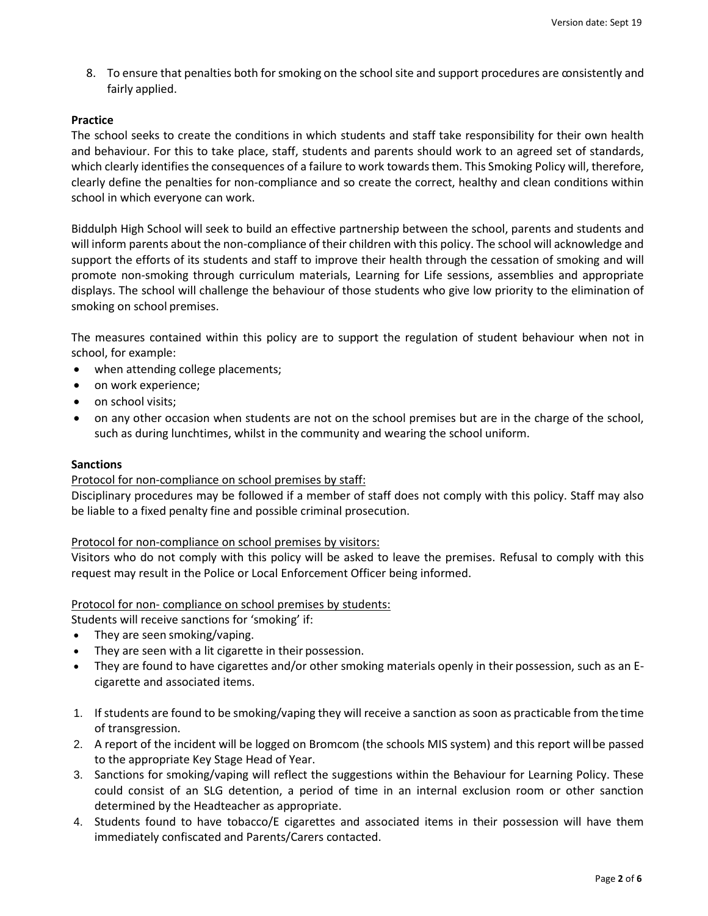8. To ensure that penalties both for smoking on the school site and support procedures are consistently and fairly applied.

# **Practice**

The school seeks to create the conditions in which students and staff take responsibility for their own health and behaviour. For this to take place, staff, students and parents should work to an agreed set of standards, which clearly identifies the consequences of a failure to work towards them. This Smoking Policy will, therefore, clearly define the penalties for non-compliance and so create the correct, healthy and clean conditions within school in which everyone can work.

Biddulph High School will seek to build an effective partnership between the school, parents and students and will inform parents about the non-compliance of their children with this policy. The school will acknowledge and support the efforts of its students and staff to improve their health through the cessation of smoking and will promote non-smoking through curriculum materials, Learning for Life sessions, assemblies and appropriate displays. The school will challenge the behaviour of those students who give low priority to the elimination of smoking on school premises.

The measures contained within this policy are to support the regulation of student behaviour when not in school, for example:

- when attending college placements;
- on work experience;
- on school visits;
- on any other occasion when students are not on the school premises but are in the charge of the school, such as during lunchtimes, whilst in the community and wearing the school uniform.

## **Sanctions**

## Protocol for non-compliance on school premises by staff:

Disciplinary procedures may be followed if a member of staff does not comply with this policy. Staff may also be liable to a fixed penalty fine and possible criminal prosecution.

#### Protocol for non-compliance on school premises by visitors:

Visitors who do not comply with this policy will be asked to leave the premises. Refusal to comply with this request may result in the Police or Local Enforcement Officer being informed.

Protocol for non- compliance on school premises by students:

Students will receive sanctions for 'smoking' if:

- They are seen smoking/vaping.
- They are seen with a lit cigarette in their possession.
- They are found to have cigarettes and/or other smoking materials openly in their possession, such as an Ecigarette and associated items.
- 1. If students are found to be smoking/vaping they will receive a sanction as soon as practicable from thetime of transgression.
- 2. A report of the incident will be logged on Bromcom (the schools MIS system) and this report willbe passed to the appropriate Key Stage Head of Year.
- 3. Sanctions for smoking/vaping will reflect the suggestions within the Behaviour for Learning Policy. These could consist of an SLG detention, a period of time in an internal exclusion room or other sanction determined by the Headteacher as appropriate.
- 4. Students found to have tobacco/E cigarettes and associated items in their possession will have them immediately confiscated and Parents/Carers contacted.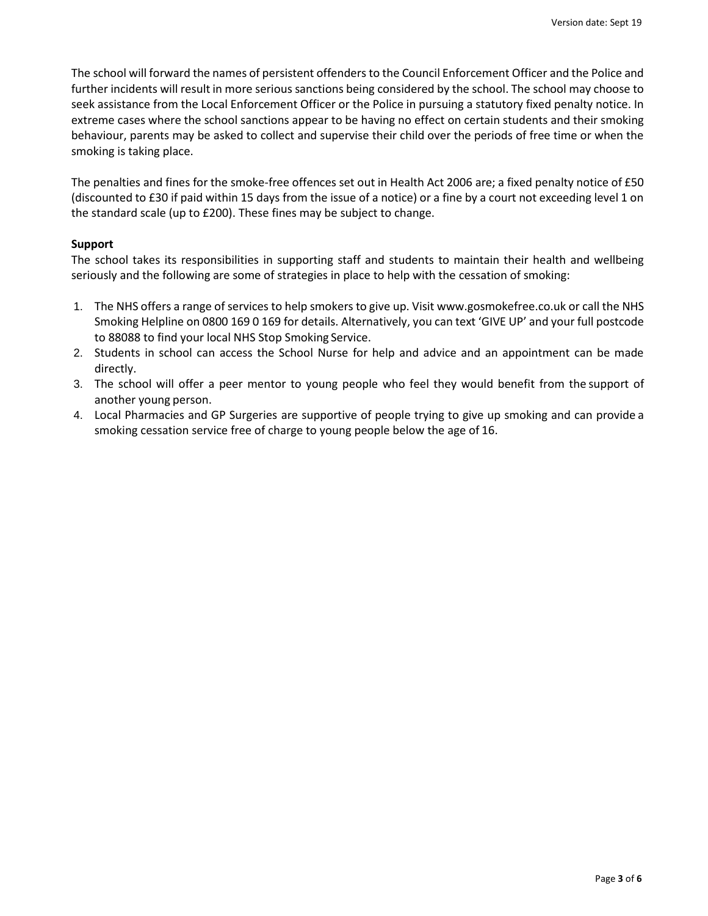The school will forward the names of persistent offenders to the Council Enforcement Officer and the Police and further incidents will result in more serious sanctions being considered by the school. The school may choose to seek assistance from the Local Enforcement Officer or the Police in pursuing a statutory fixed penalty notice. In extreme cases where the school sanctions appear to be having no effect on certain students and their smoking behaviour, parents may be asked to collect and supervise their child over the periods of free time or when the smoking is taking place.

The penalties and fines for the smoke-free offences set out in Health Act 2006 are; a fixed penalty notice of £50 (discounted to £30 if paid within 15 days from the issue of a notice) or a fine by a court not exceeding level 1 on the standard scale (up to £200). These fines may be subject to change.

## **Support**

The school takes its responsibilities in supporting staff and students to maintain their health and wellbeing seriously and the following are some of strategies in place to help with the cessation of smoking:

- 1. The NHS offers a range of services to help smokers to give up. Visit [www.gosmokefree.co.uk](http://www.gosmokefree.co.uk/) or call the NHS Smoking Helpline on 0800 169 0 169 for details. Alternatively, you can text 'GIVE UP' and your full postcode to 88088 to find your local NHS Stop Smoking Service.
- 2. Students in school can access the School Nurse for help and advice and an appointment can be made directly.
- 3. The school will offer a peer mentor to young people who feel they would benefit from the support of another young person.
- 4. Local Pharmacies and GP Surgeries are supportive of people trying to give up smoking and can provide a smoking cessation service free of charge to young people below the age of 16.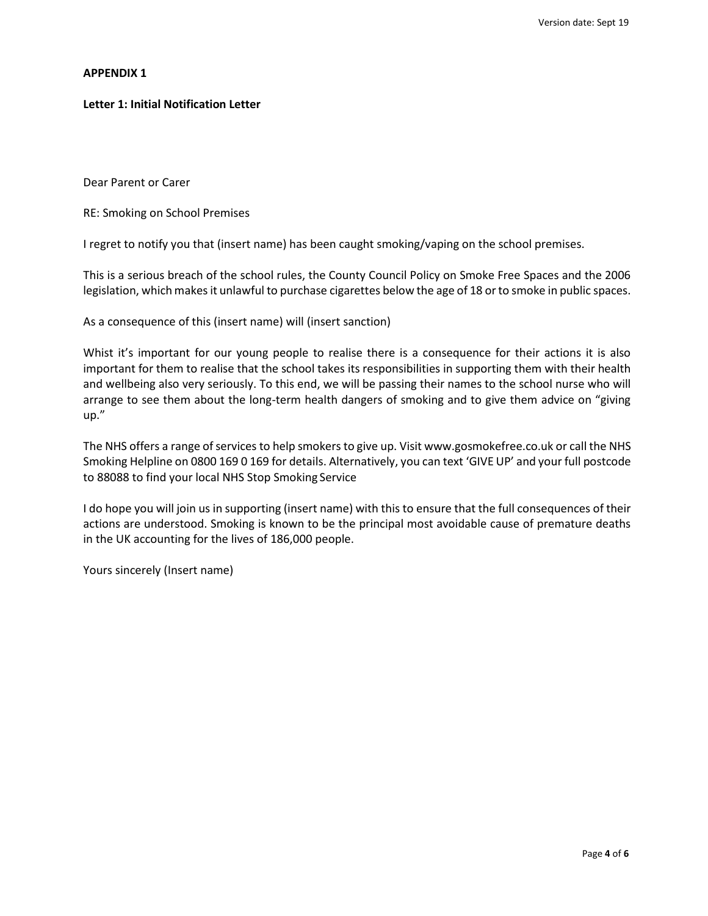#### **APPENDIX 1**

### **Letter 1: Initial Notification Letter**

Dear Parent or Carer

RE: Smoking on School Premises

I regret to notify you that (insert name) has been caught smoking/vaping on the school premises.

This is a serious breach of the school rules, the County Council Policy on Smoke Free Spaces and the 2006 legislation, which makes it unlawful to purchase cigarettes below the age of 18 or to smoke in public spaces.

As a consequence of this (insert name) will (insert sanction)

Whist it's important for our young people to realise there is a consequence for their actions it is also important for them to realise that the school takes its responsibilities in supporting them with their health and wellbeing also very seriously. To this end, we will be passing their names to the school nurse who will arrange to see them about the long-term health dangers of smoking and to give them advice on "giving up."

The NHS offers a range of services to help smokers to give up. Visit [www.gosmokefree.co.uk](http://www.gosmokefree.co.uk/) or call the NHS Smoking Helpline on 0800 169 0 169 for details. Alternatively, you can text 'GIVE UP' and your full postcode to 88088 to find your local NHS Stop Smoking Service

I do hope you will join us in supporting (insert name) with this to ensure that the full consequences of their actions are understood. Smoking is known to be the principal most avoidable cause of premature deaths in the UK accounting for the lives of 186,000 people.

Yours sincerely (Insert name)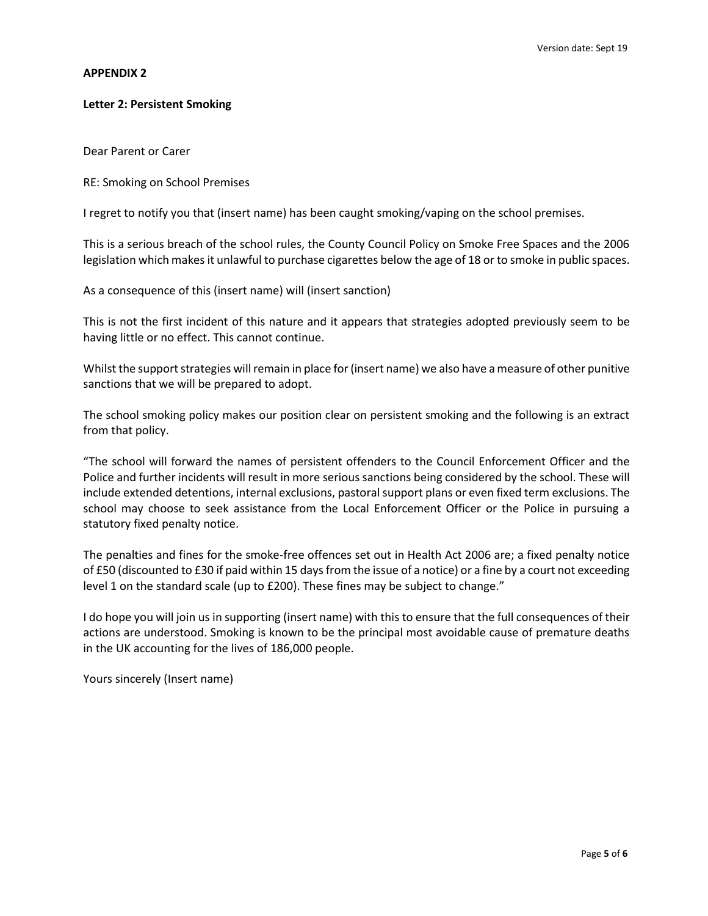# **APPENDIX 2**

# **Letter 2: Persistent Smoking**

Dear Parent or Carer

RE: Smoking on School Premises

I regret to notify you that (insert name) has been caught smoking/vaping on the school premises.

This is a serious breach of the school rules, the County Council Policy on Smoke Free Spaces and the 2006 legislation which makes it unlawful to purchase cigarettes below the age of 18 or to smoke in public spaces.

As a consequence of this (insert name) will (insert sanction)

This is not the first incident of this nature and it appears that strategies adopted previously seem to be having little or no effect. This cannot continue.

Whilst the support strategies will remain in place for (insert name) we also have a measure of other punitive sanctions that we will be prepared to adopt.

The school smoking policy makes our position clear on persistent smoking and the following is an extract from that policy.

"The school will forward the names of persistent offenders to the Council Enforcement Officer and the Police and further incidents will result in more serious sanctions being considered by the school. These will include extended detentions, internal exclusions, pastoral support plans or even fixed term exclusions. The school may choose to seek assistance from the Local Enforcement Officer or the Police in pursuing a statutory fixed penalty notice.

The penalties and fines for the smoke-free offences set out in Health Act 2006 are; a fixed penalty notice of £50 (discounted to £30 if paid within 15 days from the issue of a notice) or a fine by a court not exceeding level 1 on the standard scale (up to £200). These fines may be subject to change."

I do hope you will join us in supporting (insert name) with this to ensure that the full consequences of their actions are understood. Smoking is known to be the principal most avoidable cause of premature deaths in the UK accounting for the lives of 186,000 people.

Yours sincerely (Insert name)